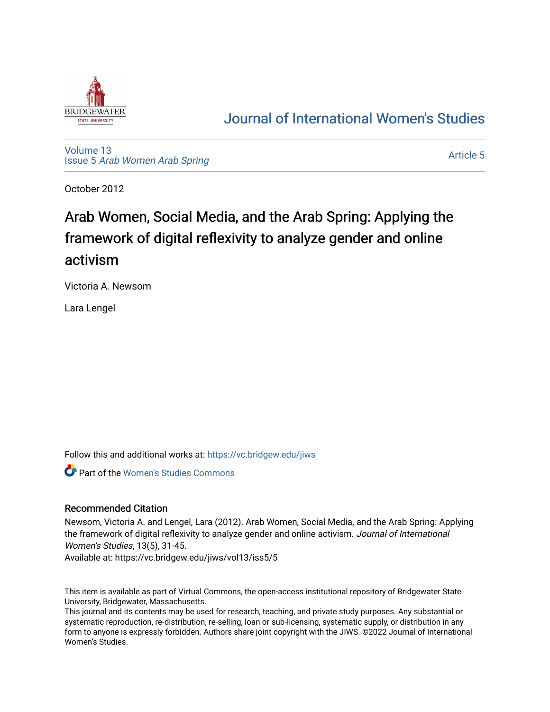

# [Journal of International Women's Studies](https://vc.bridgew.edu/jiws)

[Volume 13](https://vc.bridgew.edu/jiws/vol13) Issue 5 [Arab Women Arab Spring](https://vc.bridgew.edu/jiws/vol13/iss5)

[Article 5](https://vc.bridgew.edu/jiws/vol13/iss5/5) 

October 2012

# Arab Women, Social Media, and the Arab Spring: Applying the framework of digital reflexivity to analyze gender and online activism

Victoria A. Newsom

Lara Lengel

Follow this and additional works at: [https://vc.bridgew.edu/jiws](https://vc.bridgew.edu/jiws?utm_source=vc.bridgew.edu%2Fjiws%2Fvol13%2Fiss5%2F5&utm_medium=PDF&utm_campaign=PDFCoverPages)

Part of the [Women's Studies Commons](http://network.bepress.com/hgg/discipline/561?utm_source=vc.bridgew.edu%2Fjiws%2Fvol13%2Fiss5%2F5&utm_medium=PDF&utm_campaign=PDFCoverPages) 

# Recommended Citation

Newsom, Victoria A. and Lengel, Lara (2012). Arab Women, Social Media, and the Arab Spring: Applying the framework of digital reflexivity to analyze gender and online activism. Journal of International Women's Studies, 13(5), 31-45.

Available at: https://vc.bridgew.edu/jiws/vol13/iss5/5

This item is available as part of Virtual Commons, the open-access institutional repository of Bridgewater State University, Bridgewater, Massachusetts.

This journal and its contents may be used for research, teaching, and private study purposes. Any substantial or systematic reproduction, re-distribution, re-selling, loan or sub-licensing, systematic supply, or distribution in any form to anyone is expressly forbidden. Authors share joint copyright with the JIWS. ©2022 Journal of International Women's Studies.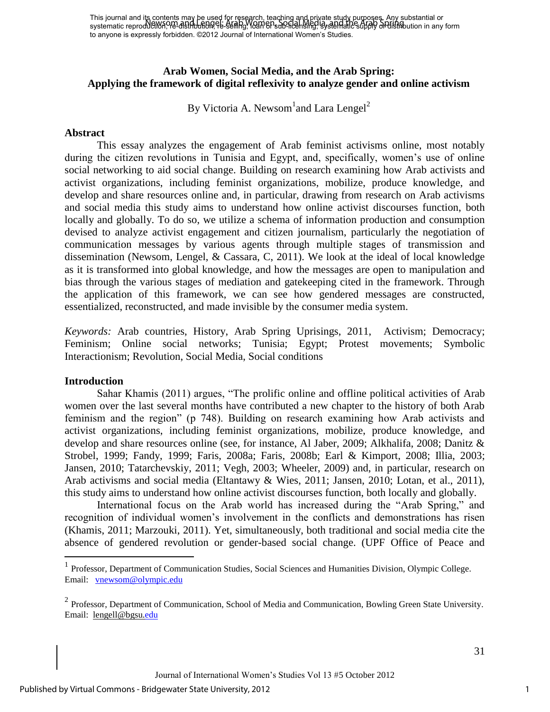This journal and its contents may be used for research, teaching and private study purposes. Any substantial or This journal and its contents may be used for its grown, leading an weaker study particles from substantial or<br>systematic reproduction, PB-distribution, PE-SEM hg), IOAN EP-sub-licensing, isystematic supply or distribution to anyone is expressly forbidden. ©2012 Journal of International Women's Studies.

# **Arab Women, Social Media, and the Arab Spring: Applying the framework of digital reflexivity to analyze gender and online activism**

By Victoria A. Newsom<sup>1</sup>and Lara Lengel<sup>2</sup>

#### **Abstract**

This essay analyzes the engagement of Arab feminist activisms online, most notably during the citizen revolutions in Tunisia and Egypt, and, specifically, women's use of online social networking to aid social change. Building on research examining how Arab activists and activist organizations, including feminist organizations, mobilize, produce knowledge, and develop and share resources online and, in particular, drawing from research on Arab activisms and social media this study aims to understand how online activist discourses function, both locally and globally. To do so, we utilize a schema of information production and consumption devised to analyze activist engagement and citizen journalism, particularly the negotiation of communication messages by various agents through multiple stages of transmission and dissemination (Newsom, Lengel, & Cassara, C, 2011). We look at the ideal of local knowledge as it is transformed into global knowledge, and how the messages are open to manipulation and bias through the various stages of mediation and gatekeeping cited in the framework. Through the application of this framework, we can see how gendered messages are constructed, essentialized, reconstructed, and made invisible by the consumer media system.

*Keywords:* Arab countries, History, Arab Spring Uprisings, 2011, Activism; Democracy; Feminism; Online social networks; Tunisia; Egypt; Protest movements; Symbolic Interactionism; Revolution, Social Media, Social conditions

#### **Introduction**

 $\overline{a}$ 

Sahar Khamis (2011) argues, "The prolific online and offline political activities of Arab women over the last several months have contributed a new chapter to the history of both Arab feminism and the region" (p 748). Building on research examining how Arab activists and activist organizations, including feminist organizations, mobilize, produce knowledge, and develop and share resources online (see, for instance, Al Jaber, 2009; Alkhalifa, 2008; Danitz & Strobel, 1999; Fandy, 1999; Faris, 2008a; Faris, 2008b; Earl & Kimport, 2008; Illia, 2003; Jansen, 2010; Tatarchevskiy, 2011; Vegh, 2003; Wheeler, 2009) and, in particular, research on Arab activisms and social media (Eltantawy & Wies, 2011; Jansen, 2010; Lotan, et al., 2011), this study aims to understand how online activist discourses function, both locally and globally.

International focus on the Arab world has increased during the "Arab Spring," and recognition of individual women's involvement in the conflicts and demonstrations has risen (Khamis, 2011; Marzouki, 2011). Yet, simultaneously, both traditional and social media cite the absence of gendered revolution or gender-based social change. (UPF Office of Peace and

<sup>&</sup>lt;sup>1</sup> Professor, Department of Communication Studies, Social Sciences and Humanities Division, Olympic College. Email: [vnewsom@olympic.edu](mailto:vnewsom@olympic.edu)

 $2$  Professor, Department of Communication, School of Media and Communication, Bowling Green State University. Email: [lengell@bgsu.edu](mailto:lengell@bgsu.edu)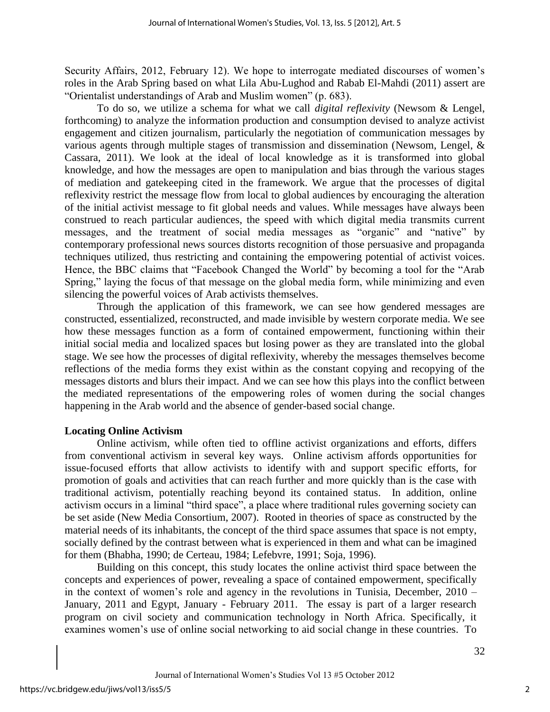Security Affairs, 2012, February 12). We hope to interrogate mediated discourses of women's roles in the Arab Spring based on what Lila Abu-Lughod and Rabab El-Mahdi (2011) assert are "Orientalist understandings of Arab and Muslim women" (p. 683).

To do so, we utilize a schema for what we call *digital reflexivity* (Newsom & Lengel, forthcoming) to analyze the information production and consumption devised to analyze activist engagement and citizen journalism, particularly the negotiation of communication messages by various agents through multiple stages of transmission and dissemination (Newsom, Lengel, & Cassara, 2011). We look at the ideal of local knowledge as it is transformed into global knowledge, and how the messages are open to manipulation and bias through the various stages of mediation and gatekeeping cited in the framework. We argue that the processes of digital reflexivity restrict the message flow from local to global audiences by encouraging the alteration of the initial activist message to fit global needs and values. While messages have always been construed to reach particular audiences, the speed with which digital media transmits current messages, and the treatment of social media messages as "organic" and "native" by contemporary professional news sources distorts recognition of those persuasive and propaganda techniques utilized, thus restricting and containing the empowering potential of activist voices. Hence, the BBC claims that "Facebook Changed the World" by becoming a tool for the "Arab Spring," laying the focus of that message on the global media form, while minimizing and even silencing the powerful voices of Arab activists themselves.

Through the application of this framework, we can see how gendered messages are constructed, essentialized, reconstructed, and made invisible by western corporate media. We see how these messages function as a form of contained empowerment, functioning within their initial social media and localized spaces but losing power as they are translated into the global stage. We see how the processes of digital reflexivity, whereby the messages themselves become reflections of the media forms they exist within as the constant copying and recopying of the messages distorts and blurs their impact. And we can see how this plays into the conflict between the mediated representations of the empowering roles of women during the social changes happening in the Arab world and the absence of gender-based social change.

#### **Locating Online Activism**

Online activism, while often tied to offline activist organizations and efforts, differs from conventional activism in several key ways. Online activism affords opportunities for issue-focused efforts that allow activists to identify with and support specific efforts, for promotion of goals and activities that can reach further and more quickly than is the case with traditional activism, potentially reaching beyond its contained status. In addition, online activism occurs in a liminal "third space", a place where traditional rules governing society can be set aside (New Media Consortium, 2007). Rooted in theories of space as constructed by the material needs of its inhabitants, the concept of the third space assumes that space is not empty, socially defined by the contrast between what is experienced in them and what can be imagined for them (Bhabha, 1990; de Certeau, 1984; Lefebvre, 1991; Soja, 1996).

Building on this concept, this study locates the online activist third space between the concepts and experiences of power, revealing a space of contained empowerment, specifically in the context of women's role and agency in the revolutions in Tunisia, December, 2010 – January, 2011 and Egypt, January - February 2011. The essay is part of a larger research program on civil society and communication technology in North Africa. Specifically, it examines women's use of online social networking to aid social change in these countries. To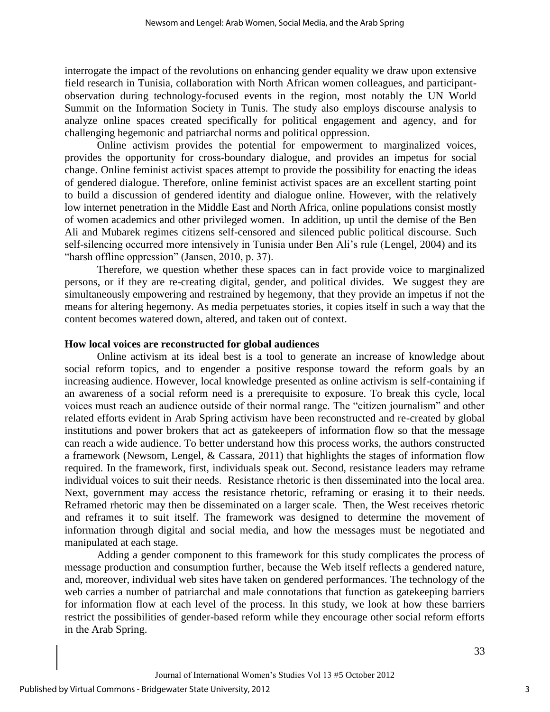interrogate the impact of the revolutions on enhancing gender equality we draw upon extensive field research in Tunisia, collaboration with North African women colleagues, and participantobservation during technology-focused events in the region, most notably the UN World Summit on the Information Society in Tunis. The study also employs discourse analysis to analyze online spaces created specifically for political engagement and agency, and for challenging hegemonic and patriarchal norms and political oppression.

Online activism provides the potential for empowerment to marginalized voices, provides the opportunity for cross-boundary dialogue, and provides an impetus for social change. Online feminist activist spaces attempt to provide the possibility for enacting the ideas of gendered dialogue. Therefore, online feminist activist spaces are an excellent starting point to build a discussion of gendered identity and dialogue online. However, with the relatively low internet penetration in the Middle East and North Africa, online populations consist mostly of women academics and other privileged women. In addition, up until the demise of the Ben Ali and Mubarek regimes citizens self-censored and silenced public political discourse. Such self-silencing occurred more intensively in Tunisia under Ben Ali's rule (Lengel, 2004) and its "harsh offline oppression" (Jansen, 2010, p. 37).

Therefore, we question whether these spaces can in fact provide voice to marginalized persons, or if they are re-creating digital, gender, and political divides. We suggest they are simultaneously empowering and restrained by hegemony, that they provide an impetus if not the means for altering hegemony. As media perpetuates stories, it copies itself in such a way that the content becomes watered down, altered, and taken out of context.

#### **How local voices are reconstructed for global audiences**

Online activism at its ideal best is a tool to generate an increase of knowledge about social reform topics, and to engender a positive response toward the reform goals by an increasing audience. However, local knowledge presented as online activism is self-containing if an awareness of a social reform need is a prerequisite to exposure. To break this cycle, local voices must reach an audience outside of their normal range. The "citizen journalism" and other related efforts evident in Arab Spring activism have been reconstructed and re-created by global institutions and power brokers that act as gatekeepers of information flow so that the message can reach a wide audience. To better understand how this process works, the authors constructed a framework (Newsom, Lengel, & Cassara, 2011) that highlights the stages of information flow required. In the framework, first, individuals speak out. Second, resistance leaders may reframe individual voices to suit their needs. Resistance rhetoric is then disseminated into the local area. Next, government may access the resistance rhetoric, reframing or erasing it to their needs. Reframed rhetoric may then be disseminated on a larger scale. Then, the West receives rhetoric and reframes it to suit itself. The framework was designed to determine the movement of information through digital and social media, and how the messages must be negotiated and manipulated at each stage.

 Adding a gender component to this framework for this study complicates the process of message production and consumption further, because the Web itself reflects a gendered nature, and, moreover, individual web sites have taken on gendered performances. The technology of the web carries a number of patriarchal and male connotations that function as gatekeeping barriers for information flow at each level of the process. In this study, we look at how these barriers restrict the possibilities of gender-based reform while they encourage other social reform efforts in the Arab Spring.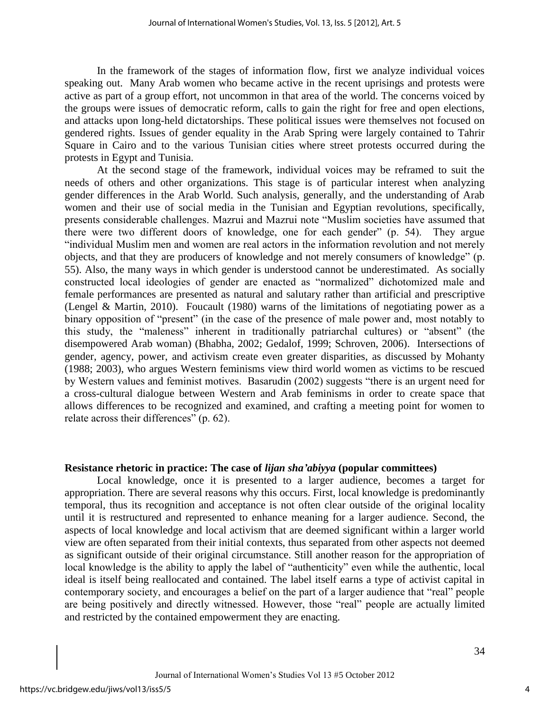In the framework of the stages of information flow, first we analyze individual voices speaking out. Many Arab women who became active in the recent uprisings and protests were active as part of a group effort, not uncommon in that area of the world. The concerns voiced by the groups were issues of democratic reform, calls to gain the right for free and open elections, and attacks upon long-held dictatorships. These political issues were themselves not focused on gendered rights. Issues of gender equality in the Arab Spring were largely contained to Tahrir Square in Cairo and to the various Tunisian cities where street protests occurred during the protests in Egypt and Tunisia.

At the second stage of the framework, individual voices may be reframed to suit the needs of others and other organizations. This stage is of particular interest when analyzing gender differences in the Arab World. Such analysis, generally, and the understanding of Arab women and their use of social media in the Tunisian and Egyptian revolutions, specifically, presents considerable challenges. Mazrui and Mazrui note "Muslim societies have assumed that there were two different doors of knowledge, one for each gender" (p. 54). They argue "individual Muslim men and women are real actors in the information revolution and not merely objects, and that they are producers of knowledge and not merely consumers of knowledge" (p. 55). Also, the many ways in which gender is understood cannot be underestimated. As socially constructed local ideologies of gender are enacted as "normalized" dichotomized male and female performances are presented as natural and salutary rather than artificial and prescriptive (Lengel & Martin, 2010). Foucault (1980) warns of the limitations of negotiating power as a binary opposition of "present" (in the case of the presence of male power and, most notably to this study, the "maleness" inherent in traditionally patriarchal cultures) or "absent" (the disempowered Arab woman) (Bhabha, 2002; Gedalof, 1999; Schroven, 2006). Intersections of gender, agency, power, and activism create even greater disparities, as discussed by Mohanty (1988; 2003), who argues Western feminisms view third world women as victims to be rescued by Western values and feminist motives. Basarudin (2002) suggests "there is an urgent need for a cross-cultural dialogue between Western and Arab feminisms in order to create space that allows differences to be recognized and examined, and crafting a meeting point for women to relate across their differences" (p. 62).

#### **Resistance rhetoric in practice: The case of** *lijan sha'abiyya* **(popular committees)**

Local knowledge, once it is presented to a larger audience, becomes a target for appropriation. There are several reasons why this occurs. First, local knowledge is predominantly temporal, thus its recognition and acceptance is not often clear outside of the original locality until it is restructured and represented to enhance meaning for a larger audience. Second, the aspects of local knowledge and local activism that are deemed significant within a larger world view are often separated from their initial contexts, thus separated from other aspects not deemed as significant outside of their original circumstance. Still another reason for the appropriation of local knowledge is the ability to apply the label of "authenticity" even while the authentic, local ideal is itself being reallocated and contained. The label itself earns a type of activist capital in contemporary society, and encourages a belief on the part of a larger audience that "real" people are being positively and directly witnessed. However, those "real" people are actually limited and restricted by the contained empowerment they are enacting.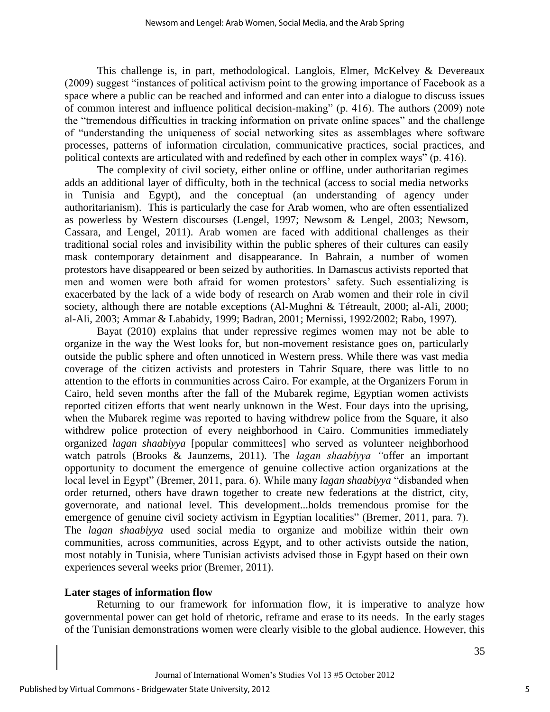This challenge is, in part, methodological. Langlois, Elmer, McKelvey & Devereaux (2009) suggest "instances of political activism point to the growing importance of Facebook as a space where a public can be reached and informed and can enter into a dialogue to discuss issues of common interest and influence political decision-making" (p. 416). The authors (2009) note the "tremendous difficulties in tracking information on private online spaces" and the challenge of "understanding the uniqueness of social networking sites as assemblages where software processes, patterns of information circulation, communicative practices, social practices, and political contexts are articulated with and redefined by each other in complex ways" (p. 416).

The complexity of civil society, either online or offline, under authoritarian regimes adds an additional layer of difficulty, both in the technical (access to social media networks in Tunisia and Egypt), and the conceptual (an understanding of agency under authoritarianism). This is particularly the case for Arab women, who are often essentialized as powerless by Western discourses (Lengel, 1997; Newsom & Lengel, 2003; Newsom, Cassara, and Lengel, 2011). Arab women are faced with additional challenges as their traditional social roles and invisibility within the public spheres of their cultures can easily mask contemporary detainment and disappearance. In Bahrain, a number of women protestors have disappeared or been seized by authorities. In Damascus activists reported that men and women were both afraid for women protestors' safety. Such essentializing is exacerbated by the lack of a wide body of research on Arab women and their role in civil society, although there are notable exceptions (Al-Mughni & Tétreault, 2000; al-Ali, 2000; al-Ali, 2003; Ammar & Lababidy, 1999; Badran, 2001; Mernissi, 1992/2002; Rabo, 1997).

Bayat (2010) explains that under repressive regimes women may not be able to organize in the way the West looks for, but non-movement resistance goes on, particularly outside the public sphere and often unnoticed in Western press. While there was vast media coverage of the citizen activists and protesters in Tahrir Square, there was little to no attention to the efforts in communities across Cairo. For example, at the Organizers Forum in Cairo, held seven months after the fall of the Mubarek regime, Egyptian women activists reported citizen efforts that went nearly unknown in the West. Four days into the uprising, when the Mubarek regime was reported to having withdrew police from the Square, it also withdrew police protection of every neighborhood in Cairo. Communities immediately organized *lagan shaabiyya* [popular committees] who served as volunteer neighborhood watch patrols (Brooks & Jaunzems, 2011). The *lagan shaabiyya "*offer an important opportunity to document the emergence of genuine collective action organizations at the local level in Egypt" (Bremer, 2011, para. 6). While many *lagan shaabiyya* "disbanded when order returned, others have drawn together to create new federations at the district, city, governorate, and national level. This development...holds tremendous promise for the emergence of genuine civil society activism in Egyptian localities" (Bremer, 2011, para. 7). The *lagan shaabiyya* used social media to organize and mobilize within their own communities, across communities, across Egypt, and to other activists outside the nation, most notably in Tunisia, where Tunisian activists advised those in Egypt based on their own experiences several weeks prior (Bremer, 2011).

# **Later stages of information flow**

Returning to our framework for information flow, it is imperative to analyze how governmental power can get hold of rhetoric, reframe and erase to its needs. In the early stages of the Tunisian demonstrations women were clearly visible to the global audience. However, this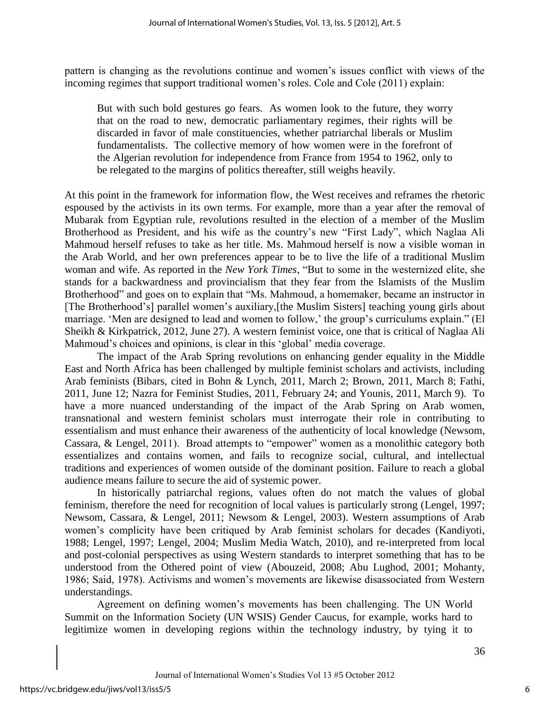pattern is changing as the revolutions continue and women's issues conflict with views of the incoming regimes that support traditional women's roles. Cole and Cole (2011) explain:

But with such bold gestures go fears. As women look to the future, they worry that on the road to new, democratic parliamentary regimes, their rights will be discarded in favor of male constituencies, whether patriarchal liberals or Muslim fundamentalists. The collective memory of how women were in the forefront of the Algerian revolution for independence from France from 1954 to 1962, only to be relegated to the margins of politics thereafter, still weighs heavily.

At this point in the framework for information flow, the West receives and reframes the rhetoric espoused by the activists in its own terms. For example, more than a year after the removal of Mubarak from Egyptian rule, revolutions resulted in the election of a member of the Muslim Brotherhood as President, and his wife as the country's new "First Lady", which Naglaa Ali Mahmoud herself refuses to take as her title. Ms. Mahmoud herself is now a visible woman in the Arab World, and her own preferences appear to be to live the life of a traditional Muslim woman and wife. As reported in the *New York Times*, "But to some in the westernized elite, she stands for a backwardness and provincialism that they fear from the Islamists of the Muslim Brotherhood" and goes on to explain that "Ms. Mahmoud, a homemaker, became an instructor in [The Brotherhood's] parallel women's auxiliary,[the Muslim Sisters] teaching young girls about marriage. 'Men are designed to lead and women to follow,' the group's curriculums explain." (El Sheikh & Kirkpatrick, 2012, June 27). A western feminist voice, one that is critical of Naglaa Ali Mahmoud's choices and opinions, is clear in this 'global' media coverage.

The impact of the Arab Spring revolutions on enhancing gender equality in the Middle East and North Africa has been challenged by multiple feminist scholars and activists, including Arab feminists (Bibars, cited in Bohn & Lynch, 2011, March 2; Brown, 2011, March 8; Fathi, 2011, June 12; Nazra for Feminist Studies, 2011, February 24; and Younis, 2011, March 9). To have a more nuanced understanding of the impact of the Arab Spring on Arab women, transnational and western feminist scholars must interrogate their role in contributing to essentialism and must enhance their awareness of the authenticity of local knowledge (Newsom, Cassara, & Lengel, 2011). Broad attempts to "empower" women as a monolithic category both essentializes and contains women, and fails to recognize social, cultural, and intellectual traditions and experiences of women outside of the dominant position. Failure to reach a global audience means failure to secure the aid of systemic power.

In historically patriarchal regions, values often do not match the values of global feminism, therefore the need for recognition of local values is particularly strong (Lengel, 1997; Newsom, Cassara, & Lengel, 2011; Newsom & Lengel, 2003). Western assumptions of Arab women's complicity have been critiqued by Arab feminist scholars for decades (Kandiyoti, 1988; Lengel, 1997; Lengel, 2004; Muslim Media Watch, 2010), and re-interpreted from local and post-colonial perspectives as using Western standards to interpret something that has to be understood from the Othered point of view (Abouzeid, 2008; Abu Lughod, 2001; Mohanty, 1986; Said, 1978). Activisms and women's movements are likewise disassociated from Western understandings.

Agreement on defining women's movements has been challenging. The UN World Summit on the Information Society (UN WSIS) Gender Caucus, for example, works hard to legitimize women in developing regions within the technology industry, by tying it to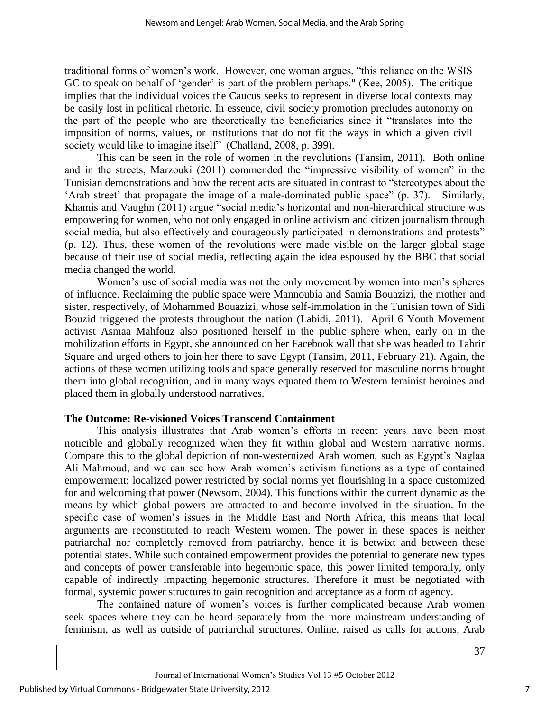traditional forms of women's work. However, one woman argues, "this reliance on the WSIS GC to speak on behalf of 'gender' is part of the problem perhaps." (Kee, 2005). The critique implies that the individual voices the Caucus seeks to represent in diverse local contexts may be easily lost in political rhetoric. In essence, civil society promotion precludes autonomy on the part of the people who are theoretically the beneficiaries since it "translates into the imposition of norms, values, or institutions that do not fit the ways in which a given civil society would like to imagine itself" (Challand, 2008, p. 399).

This can be seen in the role of women in the revolutions (Tansim, 2011). Both online and in the streets, Marzouki (2011) commended the "impressive visibility of women" in the Tunisian demonstrations and how the recent acts are situated in contrast to "stereotypes about the 'Arab street' that propagate the image of a male-dominated public space" (p. 37). Similarly, Khamis and Vaughn (2011) argue "social media's horizontal and non-hierarchical structure was empowering for women, who not only engaged in online activism and citizen journalism through social media, but also effectively and courageously participated in demonstrations and protests" (p. 12). Thus, these women of the revolutions were made visible on the larger global stage because of their use of social media, reflecting again the idea espoused by the BBC that social media changed the world.

Women's use of social media was not the only movement by women into men's spheres of influence. Reclaiming the public space were Mannoubia and Samia Bouazizi, the mother and sister, respectively, of Mohammed Bouazizi, whose self-immolation in the Tunisian town of Sidi Bouzid triggered the protests throughout the nation (Labidi, 2011). April 6 Youth Movement activist Asmaa Mahfouz also positioned herself in the public sphere when, early on in the mobilization efforts in Egypt, she announced on her Facebook wall that she was headed to Tahrir Square and urged others to join her there to save Egypt (Tansim, 2011, February 21). Again, the actions of these women utilizing tools and space generally reserved for masculine norms brought them into global recognition, and in many ways equated them to Western feminist heroines and placed them in globally understood narratives.

# **The Outcome: Re-visioned Voices Transcend Containment**

This analysis illustrates that Arab women's efforts in recent years have been most noticible and globally recognized when they fit within global and Western narrative norms. Compare this to the global depiction of non-westernized Arab women, such as Egypt's Naglaa Ali Mahmoud, and we can see how Arab women's activism functions as a type of contained empowerment; localized power restricted by social norms yet flourishing in a space customized for and welcoming that power (Newsom, 2004). This functions within the current dynamic as the means by which global powers are attracted to and become involved in the situation. In the specific case of women's issues in the Middle East and North Africa, this means that local arguments are reconstituted to reach Western women. The power in these spaces is neither patriarchal nor completely removed from patriarchy, hence it is betwixt and between these potential states. While such contained empowerment provides the potential to generate new types and concepts of power transferable into hegemonic space, this power limited temporally, only capable of indirectly impacting hegemonic structures. Therefore it must be negotiated with formal, systemic power structures to gain recognition and acceptance as a form of agency.

The contained nature of women's voices is further complicated because Arab women seek spaces where they can be heard separately from the more mainstream understanding of feminism, as well as outside of patriarchal structures. Online, raised as calls for actions, Arab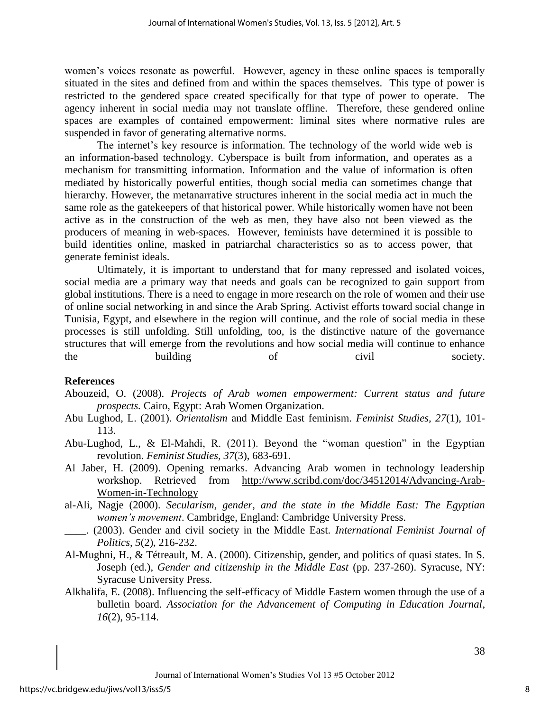women's voices resonate as powerful. However, agency in these online spaces is temporally situated in the sites and defined from and within the spaces themselves. This type of power is restricted to the gendered space created specifically for that type of power to operate. The agency inherent in social media may not translate offline. Therefore, these gendered online spaces are examples of contained empowerment: liminal sites where normative rules are suspended in favor of generating alternative norms.

The internet's key resource is information. The technology of the world wide web is an information-based technology. Cyberspace is built from information, and operates as a mechanism for transmitting information. Information and the value of information is often mediated by historically powerful entities, though social media can sometimes change that hierarchy. However, the metanarrative structures inherent in the social media act in much the same role as the gatekeepers of that historical power. While historically women have not been active as in the construction of the web as men, they have also not been viewed as the producers of meaning in web-spaces. However, feminists have determined it is possible to build identities online, masked in patriarchal characteristics so as to access power, that generate feminist ideals.

Ultimately, it is important to understand that for many repressed and isolated voices, social media are a primary way that needs and goals can be recognized to gain support from global institutions. There is a need to engage in more research on the role of women and their use of online social networking in and since the Arab Spring. Activist efforts toward social change in Tunisia, Egypt, and elsewhere in the region will continue, and the role of social media in these processes is still unfolding. Still unfolding, too, is the distinctive nature of the governance structures that will emerge from the revolutions and how social media will continue to enhance the building of civil society.

# **References**

- Abouzeid, O. (2008). *Projects of Arab women empowerment: Current status and future prospects.* Cairo, Egypt: Arab Women Organization.
- Abu Lughod, L. (2001). *Orientalism* and Middle East feminism. *Feminist Studies, 27*(1), 101- 113.
- Abu-Lughod, L., & El-Mahdi, R. (2011). Beyond the "woman question" in the Egyptian revolution. *Feminist Studies, 37*(3), 683-691.
- Al Jaber, H. (2009). Opening remarks. Advancing Arab women in technology leadership workshop. Retrieved from [http://www.scribd.com/doc/34512014/Advancing-Arab-](http://www.scribd.com/doc/34512014/Advancing-Arab-Women-in-Technology)[Women-in-Technology](http://www.scribd.com/doc/34512014/Advancing-Arab-Women-in-Technology)
- al-Ali, Nagje (2000). *Secularism, gender, and the state in the Middle East: The Egyptian women's movement*. Cambridge, England: Cambridge University Press.
- \_\_\_\_. (2003). Gender and civil society in the Middle East. *International Feminist Journal of Politics, 5*(2), 216-232.
- Al-Mughni, H., & Tétreault, M. A. (2000). Citizenship, gender, and politics of quasi states. In S. Joseph (ed.), *Gender and citizenship in the Middle East* (pp. 237-260). Syracuse, NY: Syracuse University Press.
- Alkhalifa, E. (2008). Influencing the self-efficacy of Middle Eastern women through the use of a bulletin board. *Association for the Advancement of Computing in Education Journal*, *16*(2), 95-114.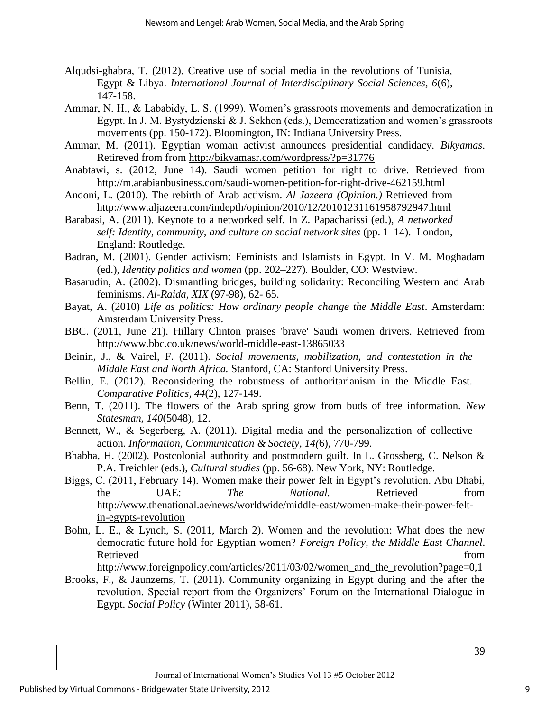- Alqudsi-ghabra, T. (2012). Creative use of social media in the revolutions of Tunisia, Egypt & Libya. *International Journal of Interdisciplinary Social Sciences, 6*(6), 147-158.
- Ammar, N. H., & Lababidy, L. S. (1999). Women's grassroots movements and democratization in Egypt. In J. M. Bystydzienski & J. Sekhon (eds.), Democratization and women's grassroots movements (pp. 150-172). Bloomington, IN: Indiana University Press.
- Ammar, M. (2011). Egyptian woman activist announces presidential candidacy. *Bikyamas*. Retireved from from<http://bikyamasr.com/wordpress/?p=31776>
- Anabtawi, s. (2012, June 14). Saudi women petition for right to drive. Retrieved from http://m.arabianbusiness.com/saudi-women-petition-for-right-drive-462159.html
- Andoni, L. (2010). The rebirth of Arab activism. *Al Jazeera (Opinion.)* Retrieved from http://www.aljazeera.com/indepth/opinion/2010/12/20101231161958792947.html
- Barabasi, A. (2011). Keynote to a networked self. In Z. Papacharissi (ed.), *A networked self: Identity, community, and culture on social network sites* (pp. 1–14). London, England: Routledge.
- Badran, M. (2001). Gender activism: Feminists and Islamists in Egypt. In V. M. Moghadam (ed.), *Identity politics and women* (pp. 202–227)*.* Boulder, CO: Westview.
- Basarudin, A. (2002). Dismantling bridges, building solidarity: Reconciling Western and Arab feminisms. *Al-Raida, XIX* (97-98), 62- 65.
- Bayat, A. (2010) *Life as politics: How ordinary people change the Middle East*. Amsterdam: Amsterdam University Press.
- BBC. (2011, June 21). Hillary Clinton praises 'brave' Saudi women drivers. Retrieved from http://www.bbc.co.uk/news/world-middle-east-13865033
- Beinin, J., & Vairel, F. (2011). *Social movements, mobilization, and contestation in the Middle East and North Africa.* Stanford, CA: Stanford University Press.
- Bellin, E. (2012). Reconsidering the robustness of authoritarianism in the Middle East. *Comparative Politics, 44*(2), 127-149.
- Benn, T. (2011). The flowers of the Arab spring grow from buds of free information. *New Statesman, 140*(5048), 12.
- Bennett, W., & Segerberg, A. (2011). Digital media and the personalization of collective action*. Information, Communication & Society, 14(*6), 770-799.
- Bhabha, H. (2002). Postcolonial authority and postmodern guilt. In L. Grossberg, C. Nelson & P.A. Treichler (eds.), *Cultural studies* (pp. 56-68). New York, NY: Routledge.
- Biggs, C. (2011, February 14). Women make their power felt in Egypt's revolution. Abu Dhabi, the UAE: *The National*. Retrieved from [http://www.thenational.ae/news/worldwide/middle-east/women-make-their-power-felt](http://www.thenational.ae/news/worldwide/middle-east/women-make-their-power-felt-in-egypts-revolution)[in-egypts-revolution](http://www.thenational.ae/news/worldwide/middle-east/women-make-their-power-felt-in-egypts-revolution)
- Bohn, L. E., & Lynch, S. (2011, March 2). Women and the revolution: What does the new democratic future hold for Egyptian women? *Foreign Policy, the Middle East Channel*. Retrieved from the state of the state of the state of the state of the state of the state of the state of the state of the state of the state of the state of the state of the state of the state of the state of the state of

[http://www.foreignpolicy.com/articles/2011/03/02/women\\_and\\_the\\_revolution?page=0,1](http://www.foreignpolicy.com/articles/2011/03/02/women_and_the_revolution?page=0,1)

Brooks, F., & Jaunzems, T. (2011). Community organizing in Egypt during and the after the revolution. Special report from the Organizers' Forum on the International Dialogue in Egypt. *Social Policy* (Winter 2011), 58-61.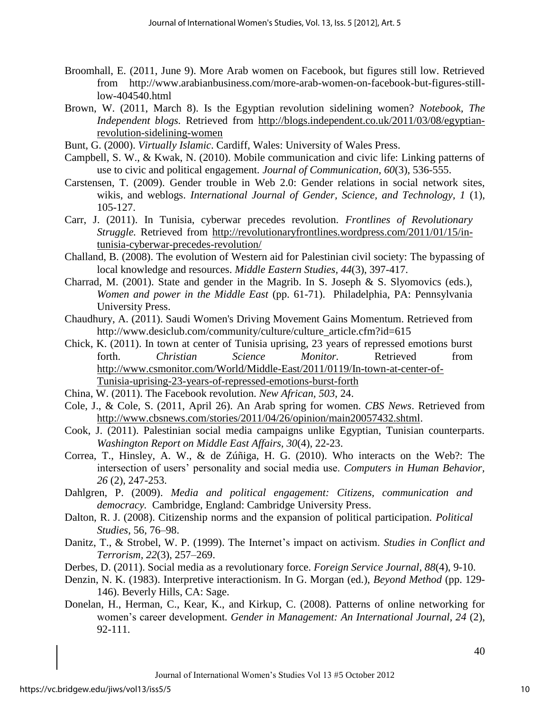- Broomhall, E. (2011, June 9). More Arab women on Facebook, but figures still low. Retrieved from http://www.arabianbusiness.com/more-arab-women-on-facebook-but-figures-stilllow-404540.html
- Brown, W. (2011, March 8). Is the Egyptian revolution sidelining women? *Notebook, The Independent blogs.* Retrieved from [http://blogs.independent.co.uk/2011/03/08/egyptian](http://blogs.independent.co.uk/2011/03/08/egyptian-revolution-sidelining-women)[revolution-sidelining-women](http://blogs.independent.co.uk/2011/03/08/egyptian-revolution-sidelining-women)
- Bunt, G. (2000). *Virtually Islamic*. Cardiff, Wales: University of Wales Press.
- Campbell, S. W., & Kwak, N. (2010). Mobile communication and civic life: Linking patterns of use to civic and political engagement. *Journal of Communication, 60*(3), 536-555.
- Carstensen, T. (2009). Gender trouble in Web 2.0: Gender relations in social network sites, wikis, and weblogs. *International Journal of Gender, Science, and Technology, 1* (1), 105-127.
- Carr, J. (2011). In Tunisia, cyberwar precedes revolution. *Frontlines of Revolutionary Struggle.* Retrieved from [http://revolutionaryfrontlines.wordpress.com/2011/01/15/in](http://revolutionaryfrontlines.wordpress.com/2011/01/15/in-tunisia-cyberwar-precedes-revolution/)[tunisia-cyberwar-precedes-revolution/](http://revolutionaryfrontlines.wordpress.com/2011/01/15/in-tunisia-cyberwar-precedes-revolution/)
- Challand, B. (2008). The evolution of Western aid for Palestinian civil society: The bypassing of local knowledge and resources. *Middle Eastern Studies, 44*(3), 397-417.
- Charrad, M. (2001). State and gender in the Magrib. In S. Joseph & S. Slyomovics (eds.), *Women and power in the Middle East* (pp. 61-71). Philadelphia, PA: Pennsylvania University Press.
- Chaudhury, A. (2011). Saudi Women's Driving Movement Gains Momentum. Retrieved from http://www.desiclub.com/community/culture/culture\_article.cfm?id=615
- Chick, K. (2011). In town at center of Tunisia uprising, 23 years of repressed emotions burst forth. *Christian Science Monitor.* Retrieved from [http://www.csmonitor.com/World/Middle-East/2011/0119/In-town-at-center-of-](http://www.csmonitor.com/World/Middle-East/2011/0119/In-town-at-center-of-Tunisia-uprising-23-years-of-repressed-emotions-burst-forth)[Tunisia-uprising-23-years-of-repressed-emotions-burst-forth](http://www.csmonitor.com/World/Middle-East/2011/0119/In-town-at-center-of-Tunisia-uprising-23-years-of-repressed-emotions-burst-forth)
- China, W. (2011). The Facebook revolution. *New African, 503*, 24.
- Cole, J., & Cole, S. (2011, April 26). An Arab spring for women. *CBS News*. Retrieved from [http://www.cbsnews.com/stories/2011/04/26/opinion/main20057432.shtml.](http://www.cbsnews.com/stories/2011/04/26/opinion/main20057432.shtml)
- Cook, J. (2011). Palestinian social media campaigns unlike Egyptian, Tunisian counterparts. *Washington Report on Middle East Affairs, 30*(4), 22-23.
- Correa, T., Hinsley, A. W., & de Zúñiga, H. G. (2010). Who interacts on the Web?: The intersection of users' personality and social media use. *Computers in Human Behavior, 26* (2), 247-253.
- Dahlgren, P. (2009). *Media and political engagement: Citizens, communication and democracy.* Cambridge, England: Cambridge University Press.
- Dalton, R. J. (2008). Citizenship norms and the expansion of political participation. *Political Studies*, 56, 76–98.
- Danitz, T., & Strobel, W. P. (1999). The Internet's impact on activism. *Studies in Conflict and Terrorism, 22*(3), 257–269.
- Derbes, D. (2011). Social media as a revolutionary force. *Foreign Service Journal, 88*(4), 9-10.
- Denzin, N. K. (1983). Interpretive interactionism. In G. Morgan (ed.), *Beyond Method* (pp. 129- 146). Beverly Hills, CA: Sage.
- Donelan, H., Herman, C., Kear, K., and Kirkup, C. (2008). Patterns of online networking for women's career development*. Gender in Management: An International Journal, 24* (2), 92-111.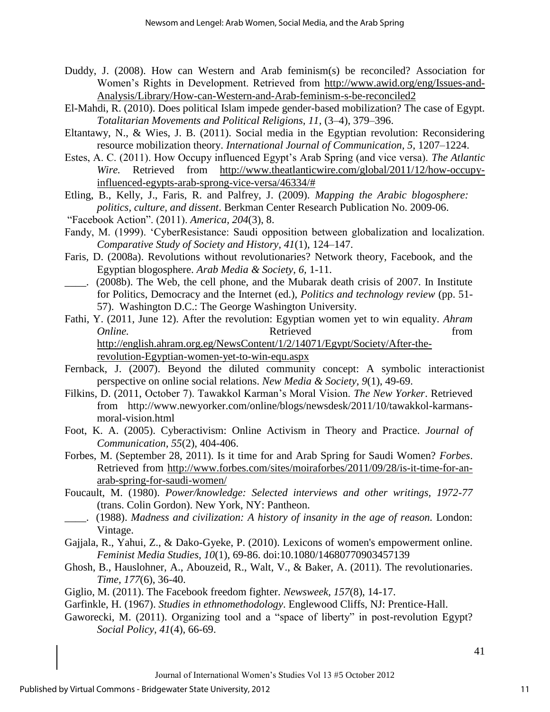- Duddy, J. (2008). How can Western and Arab feminism(s) be reconciled? Association for Women's Rights in Development. Retrieved from [http://www.awid.org/eng/Issues-and-](http://www.awid.org/eng/Issues-and-Analysis/Library/How-can-Western-and-Arab-feminism-s-be-reconciled2)[Analysis/Library/How-can-Western-and-Arab-feminism-s-be-reconciled2](http://www.awid.org/eng/Issues-and-Analysis/Library/How-can-Western-and-Arab-feminism-s-be-reconciled2)
- El-Mahdi, R. (2010). Does political Islam impede gender-based mobilization? The case of Egypt. *Totalitarian Movements and Political Religions, 11,* (3–4), 379–396.
- Eltantawy, N., & Wies, J. B. (2011). Social media in the Egyptian revolution: Reconsidering resource mobilization theory. *International Journal of Communication, 5*, 1207–1224.
- Estes, A. C. (2011). How Occupy influenced Egypt's Arab Spring (and vice versa). *The Atlantic Wire.* Retrieved from [http://www.theatlanticwire.com/global/2011/12/how-occupy](http://www.theatlanticwire.com/global/2011/12/how-occupy-influenced-egypts-arab-sprong-vice-versa/46334/)[influenced-egypts-arab-sprong-vice-versa/46334/#](http://www.theatlanticwire.com/global/2011/12/how-occupy-influenced-egypts-arab-sprong-vice-versa/46334/)
- Etling, B., Kelly, J., Faris, R. and Palfrey, J. (2009). *Mapping the Arabic blogosphere: politics, culture, and dissent*. Berkman Center Research Publication No. 2009-06.
- "Facebook Action". (2011). *America, 204*(3), 8.
- Fandy, M. (1999). 'CyberResistance: Saudi opposition between globalization and localization. *Comparative Study of Society and History, 41*(1), 124–147.
- Faris, D. (2008a). Revolutions without revolutionaries? Network theory, Facebook, and the Egyptian blogosphere. *Arab Media & Society, 6,* 1-11.
- \_\_\_\_. (2008b). The Web, the cell phone, and the Mubarak death crisis of 2007. In Institute for Politics, Democracy and the Internet (ed.), *Politics and technology review* (pp. 51- 57). Washington D.C.: The George Washington University.
- Fathi, Y. (2011, June 12). After the revolution: Egyptian women yet to win equality. *Ahram Online.* Retrieved from [http://english.ahram.org.eg/NewsContent/1/2/14071/Egypt/Society/After-the](http://english.ahram.org.eg/NewsContent/1/2/14071/Egypt/Society/After-the-revolution-Egyptian-women-yet-to-win-equ.aspx)[revolution-Egyptian-women-yet-to-win-equ.aspx](http://english.ahram.org.eg/NewsContent/1/2/14071/Egypt/Society/After-the-revolution-Egyptian-women-yet-to-win-equ.aspx)
- Fernback, J. (2007). Beyond the diluted community concept: A symbolic interactionist perspective on online social relations. *New Media & Society, 9*(1), 49-69.
- Filkins, D. (2011, October 7). Tawakkol Karman's Moral Vision. *The New Yorker*. Retrieved from http://www.newyorker.com/online/blogs/newsdesk/2011/10/tawakkol-karmansmoral-vision.html
- Foot, K. A. (2005). Cyberactivism: Online Activism in Theory and Practice. *Journal of Communication, 55*(2), 404-406.
- Forbes, M. (September 28, 2011). Is it time for and Arab Spring for Saudi Women? *Forbes*. Retrieved from [http://www.forbes.com/sites/moiraforbes/2011/09/28/is-it-time-for-an](http://www.forbes.com/sites/moiraforbes/2011/09/28/is-it-time-for-an-arab-spring-for-saudi-women/)[arab-spring-for-saudi-women/](http://www.forbes.com/sites/moiraforbes/2011/09/28/is-it-time-for-an-arab-spring-for-saudi-women/)
- Foucault, M. (1980). *Power/knowledge: Selected interviews and other writings, 1972-77*  (trans. Colin Gordon). New York, NY: Pantheon.
- \_\_\_\_. (1988). *Madness and civilization: A history of insanity in the age of reason.* London: Vintage.
- Gajjala, R., Yahui, Z., & Dako-Gyeke, P. (2010). Lexicons of women's empowerment online. *Feminist Media Studies, 10*(1), 69-86. doi:10.1080/14680770903457139
- Ghosh, B., Hauslohner, A., Abouzeid, R., Walt, V., & Baker, A. (2011). The revolutionaries. *Time, 177*(6), 36-40.
- Giglio, M. (2011). The Facebook freedom fighter. *Newsweek, 157*(8), 14-17.
- Garfinkle, H. (1967). *Studies in ethnomethodology*. Englewood Cliffs, NJ: Prentice-Hall.
- Gaworecki, M. (2011). Organizing tool and a "space of liberty" in post-revolution Egypt? *Social Policy, 41*(4), 66-69.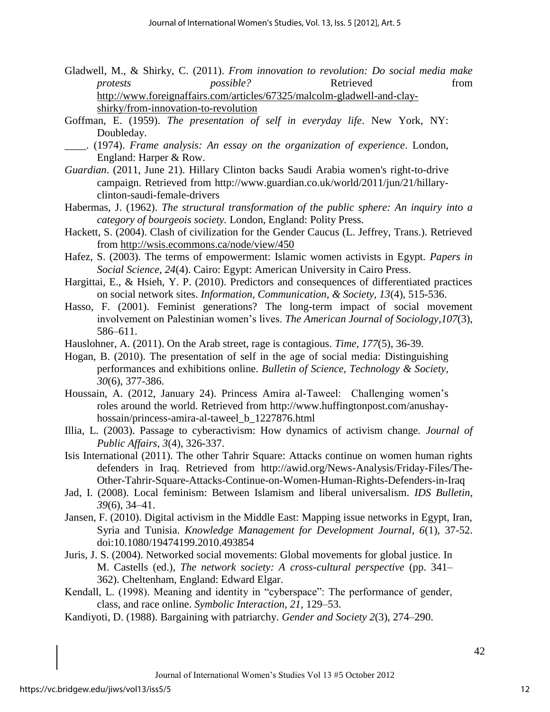- Gladwell, M., & Shirky, C. (2011). *From innovation to revolution: Do social media make protests possible?* Retrieved from [http://www.foreignaffairs.com/articles/67325/malcolm-gladwell-and-clay](http://www.foreignaffairs.com/articles/67325/malcolm-gladwell-and-clay-shirky/from-innovation-to-revolution)[shirky/from-innovation-to-revolution](http://www.foreignaffairs.com/articles/67325/malcolm-gladwell-and-clay-shirky/from-innovation-to-revolution)
- Goffman, E. (1959). *The presentation of self in everyday life*. New York, NY: Doubleday.
- \_\_\_\_. (1974). *Frame analysis: An essay on the organization of experience*. London, England: Harper & Row.
- *Guardian*. (2011, June 21). Hillary Clinton backs Saudi Arabia women's right-to-drive campaign. Retrieved from http://www.guardian.co.uk/world/2011/jun/21/hillaryclinton-saudi-female-drivers
- Habermas, J. (1962). *The structural transformation of the public sphere: An inquiry into a category of bourgeois society.* London, England: Polity Press.
- Hackett, S. (2004). Clash of civilization for the Gender Caucus (L. Jeffrey, Trans.). Retrieved from<http://wsis.ecommons.ca/node/view/450>
- Hafez, S. (2003). The terms of empowerment: Islamic women activists in Egypt. *Papers in Social Science, 24*(4). Cairo: Egypt: American University in Cairo Press.
- Hargittai, E., & Hsieh, Y. P. (2010). Predictors and consequences of differentiated practices on social network sites. *Information, Communication, & Society, 13*(4), 515-536.
- Hasso, F. (2001). Feminist generations? The long-term impact of social movement involvement on Palestinian women's lives. *The American Journal of Sociology*,*107*(3), 586–611.
- Hauslohner, A. (2011). On the Arab street, rage is contagious. *Time, 177*(5), 36-39.
- Hogan, B. (2010). The presentation of self in the age of social media: Distinguishing performances and exhibitions online. *Bulletin of Science, Technology & Society*, *30*(6), 377-386.
- Houssain, A. (2012, January 24). Princess Amira al-Taweel: Challenging women's roles around the world. Retrieved from http://www.huffingtonpost.com/anushayhossain/princess-amira-al-taweel\_b\_1227876.html
- Illia, L. (2003). Passage to cyberactivism: How dynamics of activism change. *Journal of Public Affairs, 3*(4), 326-337.
- Isis International (2011). The other Tahrir Square: Attacks continue on women human rights defenders in Iraq. Retrieved from http://awid.org/News-Analysis/Friday-Files/The-Other-Tahrir-Square-Attacks-Continue-on-Women-Human-Rights-Defenders-in-Iraq
- Jad, I. (2008). Local feminism: Between Islamism and liberal universalism. *IDS Bulletin*, *39*(6), 34–41.
- Jansen, F. (2010). Digital activism in the Middle East: Mapping issue networks in Egypt, Iran, Syria and Tunisia. *Knowledge Management for Development Journal, 6*(1), 37-52. doi:10.1080/19474199.2010.493854
- Juris, J. S. (2004). Networked social movements: Global movements for global justice. In M. Castells (ed.), *The network society: A cross-cultural perspective* (pp. 341– 362). Cheltenham, England: Edward Elgar.
- Kendall, L. (1998). Meaning and identity in "cyberspace": The performance of gender, class, and race online. *Symbolic Interaction, 21*, 129–53.
- Kandiyoti, D. (1988). Bargaining with patriarchy. *Gender and Society 2*(3), 274–290.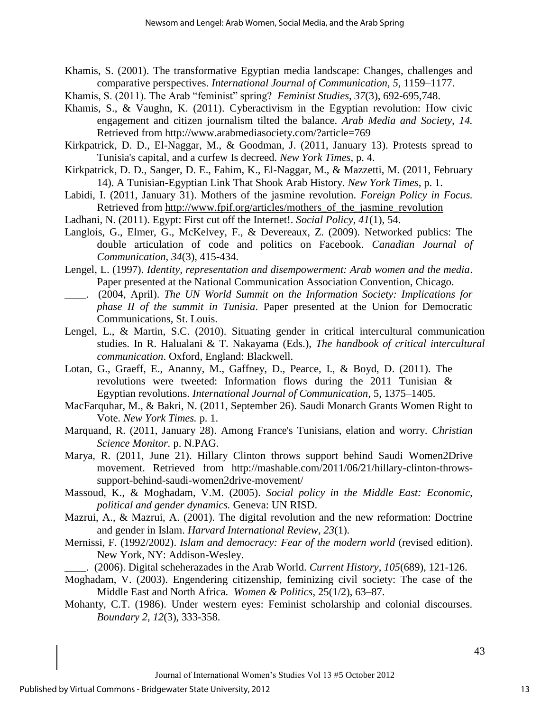- Khamis, S. (2001). The transformative Egyptian media landscape: Changes, challenges and comparative perspectives. *International Journal of Communication, 5,* 1159–1177.
- Khamis, S. (2011). The Arab "feminist" spring? *Feminist Studies, 37*(3), 692-695,748.
- Khamis, S., & Vaughn, K. (2011). Cyberactivism in the Egyptian revolution: How civic engagement and citizen journalism tilted the balance. *Arab Media and Society, 14.*  Retrieved from http://www.arabmediasociety.com/?article=769
- Kirkpatrick, D. D., El-Naggar, M., & Goodman, J. (2011, January 13). Protests spread to Tunisia's capital, and a curfew Is decreed. *New York Times*, p. 4.
- Kirkpatrick, D. D., Sanger, D. E., Fahim, K., El-Naggar, M., & Mazzetti, M. (2011, February 14). A Tunisian-Egyptian Link That Shook Arab History. *New York Times*, p. 1.
- Labidi, I. (2011, January 31). Mothers of the jasmine revolution. *Foreign Policy in Focus.* Retrieved from [http://www.fpif.org/articles/mothers\\_of\\_the\\_jasmine\\_revolution](http://www.fpif.org/articles/mothers_of_the_jasmine_revolution)
- Ladhani, N. (2011). Egypt: First cut off the Internet!. *Social Policy, 41*(1), 54.
- Langlois, G., Elmer, G., McKelvey, F., & Devereaux, Z. (2009). Networked publics: The double articulation of code and politics on Facebook. *Canadian Journal of Communication, 34*(3), 415-434.
- Lengel, L. (1997). *Identity, representation and disempowerment: Arab women and the media*. Paper presented at the National Communication Association Convention, Chicago.
- \_\_\_\_. (2004, April). *The UN World Summit on the Information Society: Implications for phase II of the summit in Tunisia*. Paper presented at the Union for Democratic Communications, St. Louis.
- Lengel, L., & Martin, S.C. (2010). Situating gender in critical intercultural communication studies. In R. Halualani & T. Nakayama (Eds.), *The handbook of critical intercultural communication*. Oxford, England: Blackwell.
- Lotan, G., Graeff, E., Ananny, M., Gaffney, D., Pearce, I., & Boyd, D. (2011). The revolutions were tweeted: Information flows during the 2011 Tunisian & Egyptian revolutions. *International Journal of Communication*, 5, 1375–1405.
- MacFarquhar, M., & Bakri, N. (2011, September 26). Saudi Monarch Grants Women Right to Vote. *New York Times.* p. 1.
- Marquand, R. (2011, January 28). Among France's Tunisians, elation and worry. *Christian Science Monitor.* p. N.PAG.
- Marya, R. (2011, June 21). Hillary Clinton throws support behind Saudi Women2Drive movement. Retrieved from http://mashable.com/2011/06/21/hillary-clinton-throwssupport-behind-saudi-women2drive-movement/
- Massoud, K., & Moghadam, V.M. (2005). *Social policy in the Middle East: Economic, political and gender dynamics.* Geneva: UN RISD.
- Mazrui, A., & Mazrui, A. (2001). The digital revolution and the new reformation: Doctrine and gender in Islam. *Harvard International Review, 23*(1).
- Mernissi, F. (1992/2002). *Islam and democracy: Fear of the modern world* (revised edition). New York, NY: Addison-Wesley.

\_\_\_\_. (2006). Digital scheherazades in the Arab World. *Current History*, *105*(689), 121-126.

- Moghadam, V. (2003). Engendering citizenship, feminizing civil society: The case of the Middle East and North Africa. *Women & Politics*, 25(1/2), 63–87.
- Mohanty, C.T. (1986). Under western eyes: Feminist scholarship and colonial discourses. *Boundary 2, 12*(3), 333-358.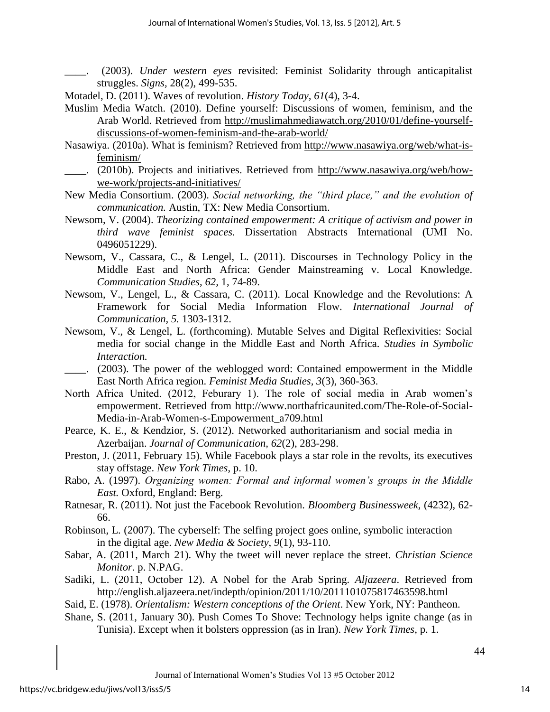\_\_\_\_. (2003). *Under western eyes* revisited: Feminist Solidarity through anticapitalist struggles. *Signs,* 28(2), 499-535.

Motadel, D. (2011). Waves of revolution. *History Today, 61*(4), 3-4.

- Muslim Media Watch. (2010). Define yourself: Discussions of women, feminism, and the Arab World. Retrieved from [http://muslimahmediawatch.org/2010/01/define-yourself](http://muslimahmediawatch.org/2010/01/define-yourself-discussions-of-women-feminism-and-the-arab-world/)[discussions-of-women-feminism-and-the-arab-world/](http://muslimahmediawatch.org/2010/01/define-yourself-discussions-of-women-feminism-and-the-arab-world/)
- Nasawiya. (2010a). What is feminism? Retrieved from [http://www.nasawiya.org/web/what-is](http://www.nasawiya.org/web/what-is-feminism/)[feminism/](http://www.nasawiya.org/web/what-is-feminism/)
- \_\_\_\_. (2010b). Projects and initiatives. Retrieved from [http://www.nasawiya.org/web/how](http://www.nasawiya.org/web/how-we-work/projects-and-initiatives/)[we-work/projects-and-initiatives/](http://www.nasawiya.org/web/how-we-work/projects-and-initiatives/)
- New Media Consortium. (2003). *Social networking, the "third place," and the evolution of communication.* Austin, TX: New Media Consortium.
- Newsom, V. (2004). *Theorizing contained empowerment: A critique of activism and power in third wave feminist spaces.* Dissertation Abstracts International (UMI No. 0496051229).
- Newsom, V., Cassara, C., & Lengel, L. (2011). Discourses in Technology Policy in the Middle East and North Africa: Gender Mainstreaming v. Local Knowledge. *Communication Studies*, *62,* 1, 74-89.
- Newsom, V., Lengel, L., & Cassara, C. (2011). Local Knowledge and the Revolutions: A Framework for Social Media Information Flow. *International Journal of Communication, 5.* 1303-1312.
- Newsom, V., & Lengel, L. (forthcoming). Mutable Selves and Digital Reflexivities: Social media for social change in the Middle East and North Africa. *Studies in Symbolic Interaction.*
- \_\_\_\_. (2003). The power of the weblogged word: Contained empowerment in the Middle East North Africa region. *Feminist Media Studies, 3*(3), 360-363.
- North Africa United. (2012, Feburary 1). The role of social media in Arab women's empowerment. Retrieved from http://www.northafricaunited.com/The-Role-of-Social-Media-in-Arab-Women-s-Empowerment\_a709.html
- Pearce, K. E., & Kendzior, S. (2012). Networked authoritarianism and social media in Azerbaijan. *Journal of Communication, 62*(2), 283-298.
- Preston, J. (2011, February 15). While Facebook plays a star role in the revolts, its executives stay offstage. *New York Times*, p. 10.
- Rabo, A. (1997). *Organizing women: Formal and informal women's groups in the Middle East.* Oxford, England: Berg.
- Ratnesar, R. (2011). Not just the Facebook Revolution. *Bloomberg Businessweek,* (4232), 62- 66.
- Robinson, L. (2007). The cyberself: The selfing project goes online, symbolic interaction in the digital age. *New Media & Society*, *9*(1), 93-110.
- Sabar, A. (2011, March 21). Why the tweet will never replace the street. *Christian Science Monitor.* p. N.PAG.
- Sadiki, L. (2011, October 12). A Nobel for the Arab Spring. *Aljazeera*. Retrieved from http://english.aljazeera.net/indepth/opinion/2011/10/2011101075817463598.html
- Said, E. (1978). *Orientalism: Western conceptions of the Orient*. New York, NY: Pantheon.
- Shane, S. (2011, January 30). Push Comes To Shove: Technology helps ignite change (as in Tunisia). Except when it bolsters oppression (as in Iran). *New York Times,* p. 1.